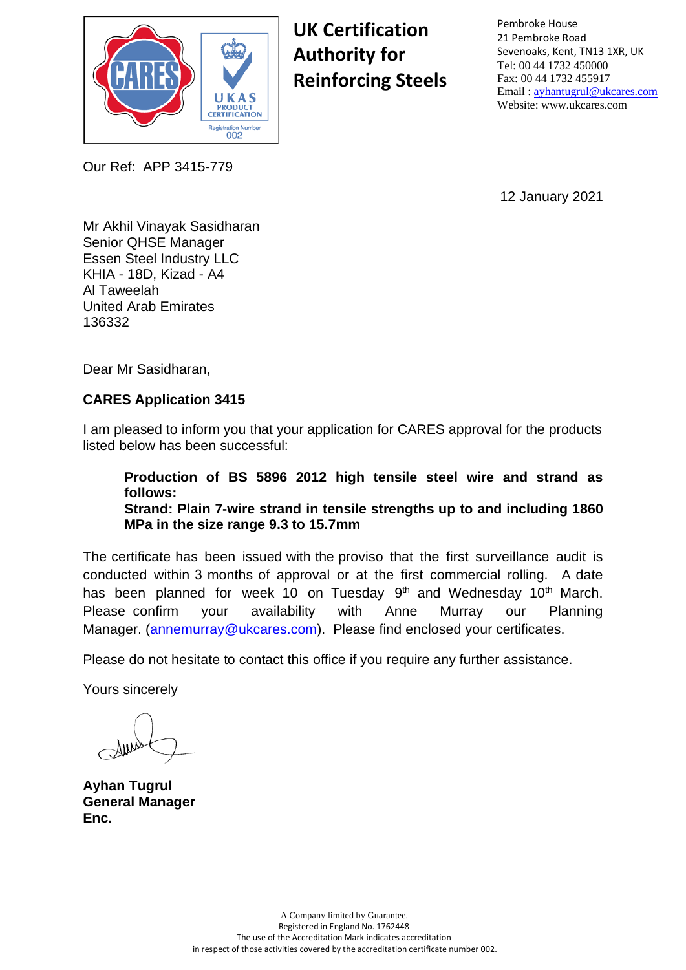

**UK Certification Authority for Reinforcing Steels** Pembroke House 21 Pembroke Road Sevenoaks, Kent, TN13 1XR, UK Tel: 00 44 1732 450000 Fax: 00 44 1732 455917 Email : [ayhantugrul@ukcares.com](mailto:ayhantugrul@ukcares.com) Website: www.ukcares.com

12 January 2021

Mr Akhil Vinayak Sasidharan Senior QHSE Manager Essen Steel Industry LLC KHIA - 18D, Kizad - A4 Al Taweelah United Arab Emirates 136332

Our Ref: APP 3415-779

Dear Mr Sasidharan,

#### **CARES Application 3415**

I am pleased to inform you that your application for CARES approval for the products listed below has been successful:

**Production of BS 5896 2012 high tensile steel wire and strand as follows: Strand: Plain 7-wire strand in tensile strengths up to and including 1860 MPa in the size range 9.3 to 15.7mm**

The certificate has been issued with the proviso that the first surveillance audit is conducted within 3 months of approval or at the first commercial rolling. A date has been planned for week 10 on Tuesday 9<sup>th</sup> and Wednesday 10<sup>th</sup> March. Please confirm your availability with Anne Murray our Planning [Manager. \(annemurray@ukc](mailto:annemurray@ukcares.com)ares.com). Please find enclosed your certificates.

Please do not hesitate to contact this office if you require any further assistance.

Yours sincerely

**Ayhan Tugrul General Manager Enc.**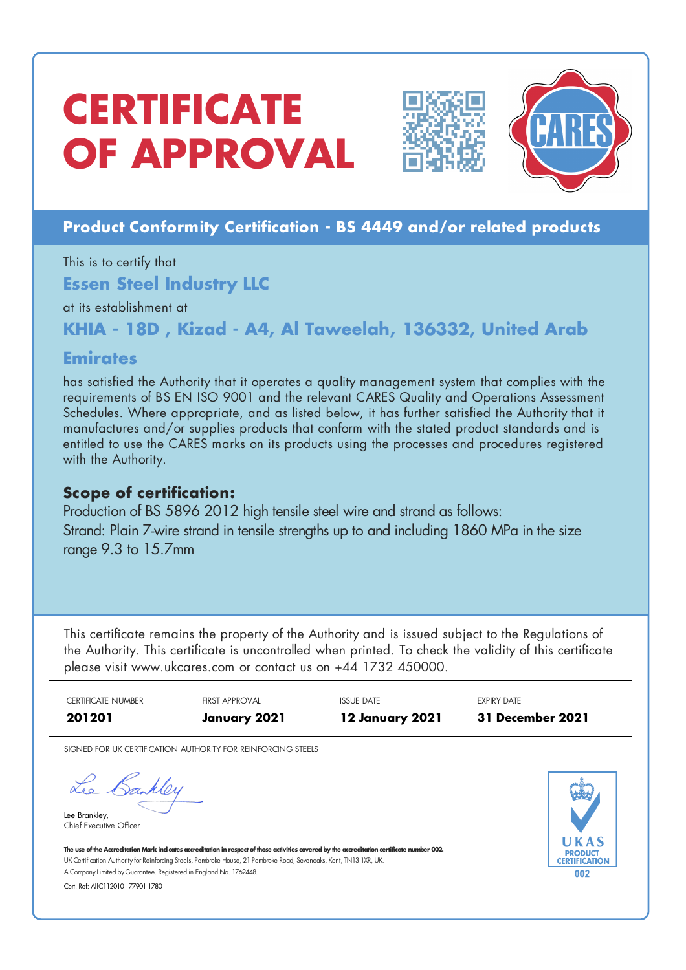## **CERTIFICATE OF APPROVAL**



### **Product Conformity Certification - BS 4449 and/or related products**

This is to certify that **Essen Steel Industry LLC**

at its establishment at

**KHIA - 18D , Kizad - A4, Al Taweelah, 136332, United Arab**

### **Emirates**

has satisfied the Authority that it operates a quality management system that complies with the requirements of BS EN ISO 9001 and the relevant CARES Quality and Operations Assessment Schedules. Where appropriate, and as listed below, it has further satisfied the Authority that it manufactures and/or supplies products that conform with the stated product standards and is entitled to use the CARES marks on its products using the processes and procedures registered with the Authority.

### **Scope of certification:**

Production of BS 5896 2012 high tensile steel wire and strand as follows: Strand: Plain 7-wire strand in tensile strengths up to and including 1860 MPa in the size range 9.3 to 15.7mm

This certificate remains the property of the Authority and is issued subject to the Regulations of the Authority. This certificate is uncontrolled when printed. To check the validity of this certificate please visit www.ukcares.com or contact us on +44 1732 450000.

|                    | <b>EXPIRY DATE</b><br><b>31 December 2021</b> | <b>ISSUE DATE</b><br><b>12 January 2021</b> | <b>FIRST APPROVAL</b><br>January 2021                                                                                                                                                                                                                                | <b>CERTIFICATE NUMBER</b><br>201201                                                                                                                               |
|--------------------|-----------------------------------------------|---------------------------------------------|----------------------------------------------------------------------------------------------------------------------------------------------------------------------------------------------------------------------------------------------------------------------|-------------------------------------------------------------------------------------------------------------------------------------------------------------------|
|                    |                                               |                                             | SIGNED FOR UK CERTIFICATION AUTHORITY FOR REINFORCING STEELS                                                                                                                                                                                                         |                                                                                                                                                                   |
| ERTIFICATIO<br>002 | <b>PRODUC</b>                                 |                                             | The use of the Accreditation Mark indicates accreditation in respect of those activities covered by the accreditation certificate number 002.<br>UK Certification Authority for Reinforcing Steels, Pembroke House, 21 Pembroke Road, Sevenoaks, Kent, TN13 1XR, UK. | Lee Bankley<br>Lee Brankley,<br>Chief Executive Officer<br>A Company Limited by Guarantee. Registered in England No. 1762448.<br>Cert. Ref: AllC112010 77901 1780 |
|                    |                                               |                                             |                                                                                                                                                                                                                                                                      |                                                                                                                                                                   |